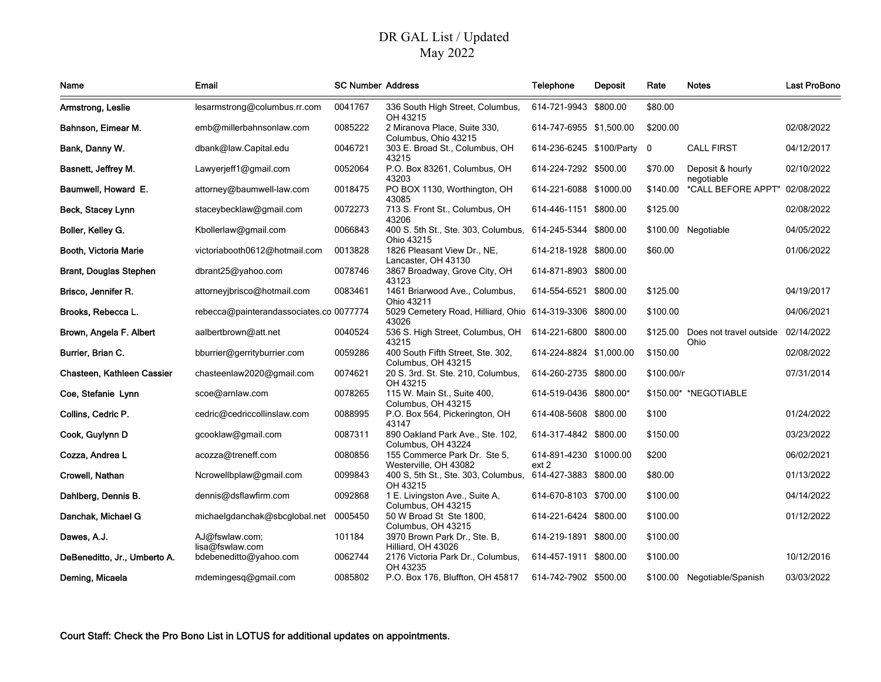## DR GAL List / UpdatedMay 2022

| Name                          | Email                                   | <b>SC Number Address</b> |                                                                       | <b>Telephone</b>                | <b>Deposit</b> | Rate       | <b>Notes</b>                    | <b>Last ProBono</b> |
|-------------------------------|-----------------------------------------|--------------------------|-----------------------------------------------------------------------|---------------------------------|----------------|------------|---------------------------------|---------------------|
| Armstrong, Leslie             | lesarmstrong@columbus.rr.com            | 0041767                  | 336 South High Street, Columbus,<br>OH 43215                          | 614-721-9943 \$800.00           |                | \$80.00    |                                 |                     |
| Bahnson, Eimear M.            | emb@millerbahnsonlaw.com                | 0085222                  | 2 Miranova Place, Suite 330,<br>Columbus, Ohio 43215                  | 614-747-6955 \$1,500.00         |                | \$200.00   |                                 | 02/08/2022          |
| Bank, Danny W.                | dbank@law.Capital.edu                   | 0046721                  | 303 E. Broad St., Columbus, OH<br>43215                               | 614-236-6245 \$100/Party        |                | - 0        | <b>CALL FIRST</b>               | 04/12/2017          |
| Basnett, Jeffrey M.           | Lawyerjeff1@gmail.com                   | 0052064                  | P.O. Box 83261, Columbus, OH<br>43203                                 | 614-224-7292 \$500.00           |                | \$70.00    | Deposit & hourly<br>negotiable  | 02/10/2022          |
| Baumwell, Howard E.           | attorney@baumwell-law.com               | 0018475                  | PO BOX 1130, Worthington, OH<br>43085                                 | 614-221-6088 \$1000.00          |                | \$140.00   | *CALL BEFORE APPT"              | 02/08/2022          |
| Beck, Stacey Lynn             | staceybecklaw@gmail.com                 | 0072273                  | 713 S. Front St., Columbus, OH<br>43206                               | 614-446-1151 \$800.00           |                | \$125.00   |                                 | 02/08/2022          |
| Boller, Kelley G.             | Kbollerlaw@gmail.com                    | 0066843                  | 400 S. 5th St., Ste. 303, Columbus,<br>Ohio 43215                     | 614-245-5344 \$800.00           |                | \$100.00   | Negotiable                      | 04/05/2022          |
| Booth, Victoria Marie         | victoriabooth0612@hotmail.com           | 0013828                  | 1826 Pleasant View Dr., NE,<br>Lancaster, OH 43130                    | 614-218-1928 \$800.00           |                | \$60.00    |                                 | 01/06/2022          |
| <b>Brant, Douglas Stephen</b> | dbrant25@yahoo.com                      | 0078746                  | 3867 Broadway, Grove City, OH<br>43123                                | 614-871-8903 \$800.00           |                |            |                                 |                     |
| Brisco, Jennifer R.           | attorneyjbrisco@hotmail.com             | 0083461                  | 1461 Briarwood Ave., Columbus,<br>Ohio 43211                          | 614-554-6521 \$800.00           |                | \$125.00   |                                 | 04/19/2017          |
| Brooks, Rebecca L.            | rebecca@painterandassociates.co 0077774 |                          | 5029 Cemetery Road, Hilliard, Ohio 614-319-3306 \$800.00<br>43026     |                                 |                | \$100.00   |                                 | 04/06/2021          |
| Brown, Angela F. Albert       | aalbertbrown@att.net                    | 0040524                  | 536 S. High Street, Columbus, OH<br>43215                             | 614-221-6800 \$800.00           |                | \$125.00   | Does not travel outside<br>Ohio | 02/14/2022          |
| Burrier, Brian C.             | bburrier@gerrityburrier.com             | 0059286                  | 400 South Fifth Street, Ste. 302,<br>Columbus, OH 43215               | 614-224-8824 \$1,000.00         |                | \$150.00   |                                 | 02/08/2022          |
| Chasteen, Kathleen Cassier    | chasteenlaw2020@gmail.com               | 0074621                  | 20 S. 3rd. St. Ste. 210, Columbus,<br>OH 43215                        | 614-260-2735 \$800.00           |                | \$100.00/n |                                 | 07/31/2014          |
| Coe, Stefanie Lynn            | scoe@arnlaw.com                         | 0078265                  | 115 W. Main St., Suite 400,<br>Columbus, OH 43215                     | 614-519-0436 \$800.00*          |                |            | \$150.00* *NEGOTIABLE           |                     |
| Collins, Cedric P.            | cedric@cedriccollinslaw.com             | 0088995                  | P.O. Box 564, Pickerington, OH<br>43147                               | 614-408-5608 \$800.00           |                | \$100      |                                 | 01/24/2022          |
| Cook, Guylynn D               | gcooklaw@gmail.com                      | 0087311                  | 890 Oakland Park Ave., Ste. 102,<br>Columbus, OH 43224                | 614-317-4842 \$800.00           |                | \$150.00   |                                 | 03/23/2022          |
| Cozza, Andrea L               | acozza@treneff.com                      | 0080856                  | 155 Commerce Park Dr. Ste 5,<br>Westerville, OH 43082                 | 614-891-4230 \$1000.00<br>ext 2 |                | \$200      |                                 | 06/02/2021          |
| Crowell, Nathan               | Ncrowellbplaw@gmail.com                 | 0099843                  | 400 S, 5th St., Ste. 303, Columbus, 614-427-3883 \$800.00<br>OH 43215 |                                 |                | \$80.00    |                                 | 01/13/2022          |
| Dahlberg, Dennis B.           | dennis@dsflawfirm.com                   | 0092868                  | 1 E. Livingston Ave., Suite A,<br>Columbus, OH 43215                  | 614-670-8103 \$700.00           |                | \$100.00   |                                 | 04/14/2022          |
| Danchak, Michael G            | michaelgdanchak@sbcglobal.net           | 0005450                  | 50 W Broad St Ste 1800,<br>Columbus, OH 43215                         | 614-221-6424 \$800.00           |                | \$100.00   |                                 | 01/12/2022          |
| Dawes, A.J.                   | AJ@fswlaw.com;<br>lisa@fswlaw.com       | 101184                   | 3970 Brown Park Dr., Ste. B,<br>Hilliard, OH 43026                    | 614-219-1891 \$800.00           |                | \$100.00   |                                 |                     |
| DeBeneditto, Jr., Umberto A.  | bdebeneditto@yahoo.com                  | 0062744                  | 2176 Victoria Park Dr., Columbus,<br>OH 43235                         | 614-457-1911 \$800.00           |                | \$100.00   |                                 | 10/12/2016          |
| Deming, Micaela               | mdemingesq@gmail.com                    | 0085802                  | P.O. Box 176, Bluffton, OH 45817                                      | 614-742-7902 \$500.00           |                |            | \$100.00 Negotiable/Spanish     | 03/03/2022          |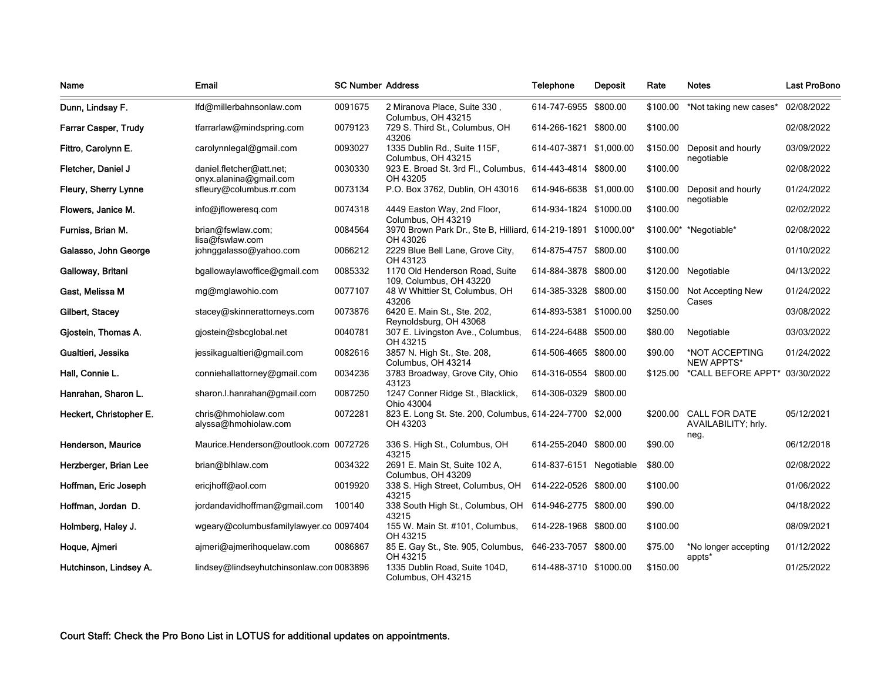| Name                        | <b>Email</b>                                       | <b>SC Number Address</b> |                                                                           | <b>Telephone</b>        | Deposit  | Rate     | <b>Notes</b>                                          | <b>Last ProBono</b> |
|-----------------------------|----------------------------------------------------|--------------------------|---------------------------------------------------------------------------|-------------------------|----------|----------|-------------------------------------------------------|---------------------|
| Dunn, Lindsay F.            | lfd@millerbahnsonlaw.com                           | 0091675                  | 2 Miranova Place, Suite 330,<br>Columbus, OH 43215                        | 614-747-6955            | \$800.00 | \$100.00 | *Not taking new cases*                                | 02/08/2022          |
| <b>Farrar Casper, Trudy</b> | tfarrarlaw@mindspring.com                          | 0079123                  | 729 S. Third St., Columbus, OH<br>43206                                   | 614-266-1621 \$800.00   |          | \$100.00 |                                                       | 02/08/2022          |
| Fittro, Carolynn E.         | carolynnlegal@gmail.com                            | 0093027                  | 1335 Dublin Rd., Suite 115F,<br>Columbus, OH 43215                        | 614-407-3871 \$1,000.00 |          | \$150.00 | Deposit and hourly<br>negotiable                      | 03/09/2022          |
| Fletcher, Daniel J          | daniel.fletcher@att.net;<br>onyx.alanina@gmail.com | 0030330                  | 923 E. Broad St. 3rd Fl., Columbus, 614-443-4814 \$800.00<br>OH 43205     |                         |          | \$100.00 |                                                       | 02/08/2022          |
| Fleury, Sherry Lynne        | sfleury@columbus.rr.com                            | 0073134                  | P.O. Box 3762, Dublin, OH 43016                                           | 614-946-6638 \$1,000.00 |          | \$100.00 | Deposit and hourly<br>negotiable                      | 01/24/2022          |
| Flowers, Janice M.          | info@jfloweresq.com                                | 0074318                  | 4449 Easton Way, 2nd Floor,<br>Columbus, OH 43219                         | 614-934-1824 \$1000.00  |          | \$100.00 |                                                       | 02/02/2022          |
| Furniss, Brian M.           | brian@fswlaw.com;<br>lisa@fswlaw.com               | 0084564                  | 3970 Brown Park Dr., Ste B, Hilliard, 614-219-1891 \$1000.00*<br>OH 43026 |                         |          |          | \$100.00* *Negotiable*                                | 02/08/2022          |
| Galasso, John George        | johnggalasso@yahoo.com                             | 0066212                  | 2229 Blue Bell Lane, Grove City,<br>OH 43123                              | 614-875-4757 \$800.00   |          | \$100.00 |                                                       | 01/10/2022          |
| Galloway, Britani           | bgallowaylawoffice@gmail.com                       | 0085332                  | 1170 Old Henderson Road, Suite<br>109, Columbus, OH 43220                 | 614-884-3878 \$800.00   |          |          | \$120.00 Negotiable                                   | 04/13/2022          |
| Gast, Melissa M             | mg@mglawohio.com                                   | 0077107                  | 48 W Whittier St, Columbus, OH<br>43206                                   | 614-385-3328 \$800.00   |          |          | \$150.00 Not Accepting New<br>Cases                   | 01/24/2022          |
| Gilbert, Stacey             | stacey@skinnerattorneys.com                        | 0073876                  | 6420 E. Main St., Ste. 202,<br>Reynoldsburg, OH 43068                     | 614-893-5381 \$1000.00  |          | \$250.00 |                                                       | 03/08/2022          |
| Gjostein, Thomas A.         | gjostein@sbcglobal.net                             | 0040781                  | 307 E. Livingston Ave., Columbus,<br>OH 43215                             | 614-224-6488 \$500.00   |          | \$80.00  | Negotiable                                            | 03/03/2022          |
| Gualtieri, Jessika          | jessikagualtieri@gmail.com                         | 0082616                  | 3857 N. High St., Ste. 208,<br>Columbus, OH 43214                         | 614-506-4665 \$800.00   |          | \$90.00  | *NOT ACCEPTING<br><b>NEW APPTS*</b>                   | 01/24/2022          |
| Hall, Connie L.             | conniehallattorney@gmail.com                       | 0034236                  | 3783 Broadway, Grove City, Ohio<br>43123                                  | 614-316-0554 \$800.00   |          | \$125.00 | *CALL BEFORE APPT*                                    | 03/30/2022          |
| Hanrahan, Sharon L.         | sharon.l.hanrahan@gmail.com                        | 0087250                  | 1247 Conner Ridge St., Blacklick,<br>Ohio 43004                           | 614-306-0329 \$800.00   |          |          |                                                       |                     |
| Heckert, Christopher E.     | chris@hmohiolaw.com<br>alyssa@hmohiolaw.com        | 0072281                  | 823 E. Long St. Ste. 200, Columbus, 614-224-7700 \$2,000<br>OH 43203      |                         |          |          | \$200.00 CALL FOR DATE<br>AVAILABILITY; hrly.<br>neg. | 05/12/2021          |
| Henderson, Maurice          | Maurice.Henderson@outlook.com 0072726              |                          | 336 S. High St., Columbus, OH<br>43215                                    | 614-255-2040 \$800.00   |          | \$90.00  |                                                       | 06/12/2018          |
| Herzberger, Brian Lee       | brian@blhlaw.com                                   | 0034322                  | 2691 E. Main St, Suite 102 A,<br>Columbus, OH 43209                       | 614-837-6151 Negotiable |          | \$80.00  |                                                       | 02/08/2022          |
| Hoffman, Eric Joseph        | ericihoff@aol.com                                  | 0019920                  | 338 S. High Street, Columbus, OH<br>43215                                 | 614-222-0526 \$800.00   |          | \$100.00 |                                                       | 01/06/2022          |
| Hoffman, Jordan D.          | jordandavidhoffman@gmail.com                       | 100140                   | 338 South High St., Columbus, OH<br>43215                                 | 614-946-2775 \$800.00   |          | \$90.00  |                                                       | 04/18/2022          |
| Holmberg, Haley J.          | wgeary@columbusfamilylawyer.co 0097404             |                          | 155 W. Main St. #101, Columbus,<br>OH 43215                               | 614-228-1968 \$800.00   |          | \$100.00 |                                                       | 08/09/2021          |
| Hoque, Ajmeri               | ajmeri@ajmerihoquelaw.com                          | 0086867                  | 85 E. Gay St., Ste. 905, Columbus,<br>OH 43215                            | 646-233-7057 \$800.00   |          | \$75.00  | *No longer accepting<br>appts*                        | 01/12/2022          |
| Hutchinson, Lindsey A.      | lindsey@lindseyhutchinsonlaw.con 0083896           |                          | 1335 Dublin Road, Suite 104D,<br>Columbus, OH 43215                       | 614-488-3710 \$1000.00  |          | \$150.00 |                                                       | 01/25/2022          |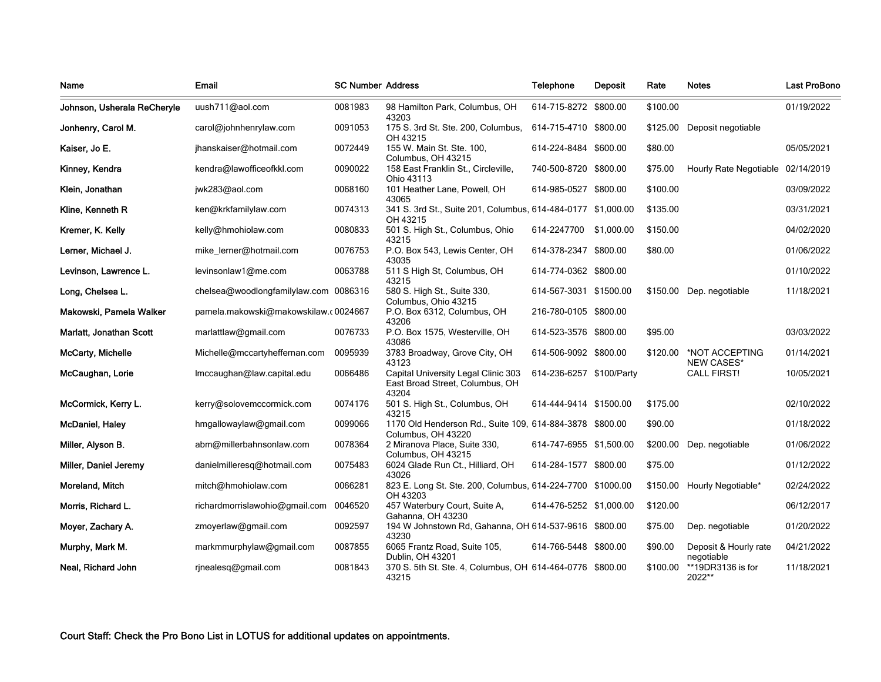| Name                        | Email                                 | <b>SC Number Address</b> |                                                                                 | <b>Telephone</b>         | <b>Deposit</b> | Rate     | <b>Notes</b>                        | <b>Last ProBono</b> |
|-----------------------------|---------------------------------------|--------------------------|---------------------------------------------------------------------------------|--------------------------|----------------|----------|-------------------------------------|---------------------|
| Johnson, Usherala ReCheryle | uush711@aol.com                       | 0081983                  | 98 Hamilton Park, Columbus, OH<br>43203                                         | 614-715-8272 \$800.00    |                | \$100.00 |                                     | 01/19/2022          |
| Jonhenry, Carol M.          | carol@johnhenrylaw.com                | 0091053                  | 175 S. 3rd St. Ste. 200, Columbus,<br>OH 43215                                  | 614-715-4710 \$800.00    |                | \$125.00 | Deposit negotiable                  |                     |
| Kaiser, Jo E.               | jhanskaiser@hotmail.com               | 0072449                  | 155 W. Main St. Ste. 100,<br>Columbus, OH 43215                                 | 614-224-8484 \$600.00    |                | \$80.00  |                                     | 05/05/2021          |
| Kinney, Kendra              | kendra@lawofficeofkkl.com             | 0090022                  | 158 East Franklin St., Circleville,<br>Ohio 43113                               | 740-500-8720 \$800.00    |                | \$75.00  | Hourly Rate Negotiable 02/14/2019   |                     |
| Klein, Jonathan             | jwk283@aol.com                        | 0068160                  | 101 Heather Lane, Powell, OH<br>43065                                           | 614-985-0527 \$800.00    |                | \$100.00 |                                     | 03/09/2022          |
| Kline, Kenneth R            | ken@krkfamilylaw.com                  | 0074313                  | 341 S. 3rd St., Suite 201, Columbus, 614-484-0177 \$1,000.00<br>OH 43215        |                          |                | \$135.00 |                                     | 03/31/2021          |
| Kremer, K. Kelly            | kelly@hmohiolaw.com                   | 0080833                  | 501 S. High St., Columbus, Ohio<br>43215                                        | 614-2247700 \$1,000.00   |                | \$150.00 |                                     | 04/02/2020          |
| Lerner, Michael J.          | mike lerner@hotmail.com               | 0076753                  | P.O. Box 543, Lewis Center, OH<br>43035                                         | 614-378-2347 \$800.00    |                | \$80.00  |                                     | 01/06/2022          |
| Levinson, Lawrence L.       | levinsonlaw1@me.com                   | 0063788                  | 511 S High St, Columbus, OH<br>43215                                            | 614-774-0362 \$800.00    |                |          |                                     | 01/10/2022          |
| Long, Chelsea L.            | chelsea@woodlongfamilylaw.com 0086316 |                          | 580 S. High St., Suite 330,<br>Columbus, Ohio 43215                             | 614-567-3031 \$1500.00   |                |          | \$150.00 Dep. negotiable            | 11/18/2021          |
| Makowski, Pamela Walker     | pamela.makowski@makowskilaw.c0024667  |                          | P.O. Box 6312, Columbus, OH<br>43206                                            | 216-780-0105 \$800.00    |                |          |                                     |                     |
| Marlatt, Jonathan Scott     | marlattlaw@gmail.com                  | 0076733                  | P.O. Box 1575, Westerville, OH<br>43086                                         | 614-523-3576 \$800.00    |                | \$95.00  |                                     | 03/03/2022          |
| McCarty, Michelle           | Michelle@mccartyheffernan.com         | 0095939                  | 3783 Broadway, Grove City, OH<br>43123                                          | 614-506-9092 \$800.00    |                | \$120.00 | *NOT ACCEPTING<br><b>NEW CASES*</b> | 01/14/2021          |
| McCaughan, Lorie            | Imccaughan@law.capital.edu            | 0066486                  | Capital University Legal Clinic 303<br>East Broad Street, Columbus, OH<br>43204 | 614-236-6257 \$100/Party |                |          | <b>CALL FIRST!</b>                  | 10/05/2021          |
| McCormick, Kerry L.         | kerry@solovemccormick.com             | 0074176                  | 501 S. High St., Columbus, OH<br>43215                                          | 614-444-9414 \$1500.00   |                | \$175.00 |                                     | 02/10/2022          |
| <b>McDaniel, Haley</b>      | hmgallowaylaw@gmail.com               | 0099066                  | 1170 Old Henderson Rd., Suite 109, 614-884-3878 \$800.00<br>Columbus, OH 43220  |                          |                | \$90.00  |                                     | 01/18/2022          |
| Miller, Alyson B.           | abm@millerbahnsonlaw.com              | 0078364                  | 2 Miranova Place, Suite 330,<br>Columbus, OH 43215                              | 614-747-6955 \$1,500.00  |                | \$200.00 | Dep. negotiable                     | 01/06/2022          |
| Miller, Daniel Jeremy       | danielmilleresq@hotmail.com           | 0075483                  | 6024 Glade Run Ct., Hilliard, OH<br>43026                                       | 614-284-1577 \$800.00    |                | \$75.00  |                                     | 01/12/2022          |
| Moreland, Mitch             | mitch@hmohiolaw.com                   | 0066281                  | 823 E. Long St. Ste. 200, Columbus, 614-224-7700 \$1000.00<br>OH 43203          |                          |                | \$150.00 | Hourly Negotiable*                  | 02/24/2022          |
| Morris, Richard L.          | richardmorrislawohio@gmail.com        | 0046520                  | 457 Waterbury Court, Suite A,<br>Gahanna, OH 43230                              | 614-476-5252 \$1,000.00  |                | \$120.00 |                                     | 06/12/2017          |
| Moyer, Zachary A.           | zmoyerlaw@gmail.com                   | 0092597                  | 194 W Johnstown Rd, Gahanna, OH 614-537-9616 \$800.00<br>43230                  |                          |                | \$75.00  | Dep. negotiable                     | 01/20/2022          |
| Murphy, Mark M.             | markmmurphylaw@gmail.com              | 0087855                  | 6065 Frantz Road, Suite 105,<br>Dublin, OH 43201                                | 614-766-5448 \$800.00    |                | \$90.00  | Deposit & Hourly rate<br>negotiable | 04/21/2022          |
| Neal, Richard John          | rinealesq@gmail.com                   | 0081843                  | 370 S. 5th St. Ste. 4, Columbus, OH 614-464-0776 \$800.00<br>43215              |                          |                | \$100.00 | **19DR3136 is for<br>2022**         | 11/18/2021          |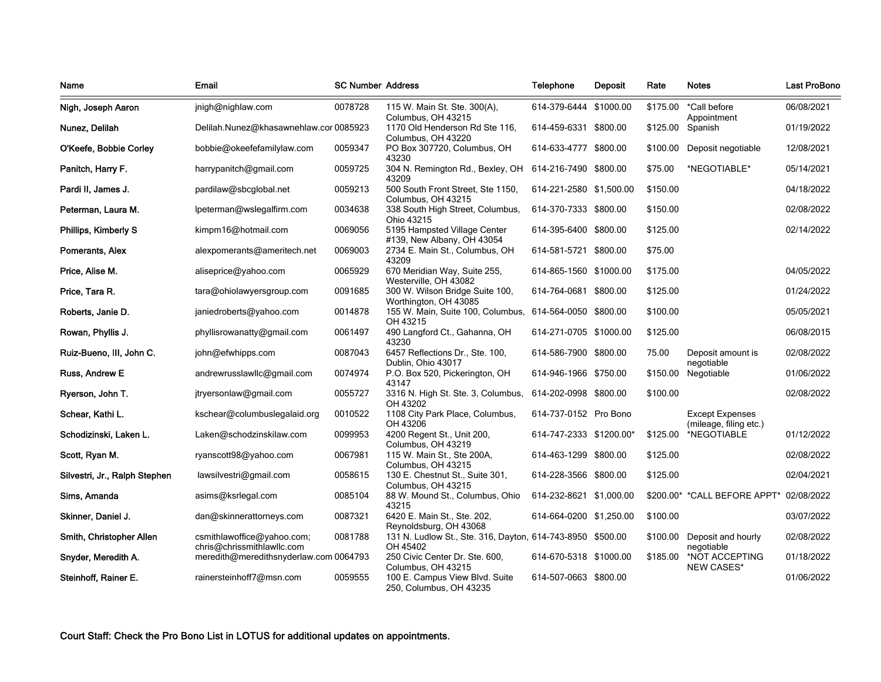| Name                          | Email                                                    | <b>SC Number Address</b> |                                                                            | <b>Telephone</b>        | <b>Deposit</b> | Rate       | <b>Notes</b>                                     | <b>Last ProBono</b> |
|-------------------------------|----------------------------------------------------------|--------------------------|----------------------------------------------------------------------------|-------------------------|----------------|------------|--------------------------------------------------|---------------------|
| Nigh, Joseph Aaron            | jnigh@nighlaw.com                                        | 0078728                  | 115 W. Main St. Ste. 300(A),                                               | 614-379-6444 \$1000.00  |                | \$175.00   | *Call before                                     | 06/08/2021          |
| Nunez, Delilah                | Delilah.Nunez@khasawnehlaw.cor 0085923                   |                          | Columbus, OH 43215<br>1170 Old Henderson Rd Ste 116,<br>Columbus, OH 43220 | 614-459-6331 \$800.00   |                | \$125.00   | Appointment<br>Spanish                           | 01/19/2022          |
| O'Keefe, Bobbie Corley        | bobbie@okeefefamilylaw.com                               | 0059347                  | PO Box 307720, Columbus, OH<br>43230                                       | 614-633-4777 \$800.00   |                | \$100.00   | Deposit negotiable                               | 12/08/2021          |
| Panitch, Harry F.             | harrypanitch@gmail.com                                   | 0059725                  | 304 N. Remington Rd., Bexley, OH<br>43209                                  | 614-216-7490 \$800.00   |                | \$75.00    | *NEGOTIABLE*                                     | 05/14/2021          |
| Pardi II, James J.            | pardilaw@sbcglobal.net                                   | 0059213                  | 500 South Front Street, Ste 1150,<br>Columbus, OH 43215                    | 614-221-2580 \$1,500.00 |                | \$150.00   |                                                  | 04/18/2022          |
| Peterman, Laura M.            | lpeterman@wslegalfirm.com                                | 0034638                  | 338 South High Street, Columbus,<br>Ohio 43215                             | 614-370-7333 \$800.00   |                | \$150.00   |                                                  | 02/08/2022          |
| Phillips, Kimberly S          | kimpm16@hotmail.com                                      | 0069056                  | 5195 Hampsted Village Center<br>#139, New Albany, OH 43054                 | 614-395-6400 \$800.00   |                | \$125.00   |                                                  | 02/14/2022          |
| Pomerants, Alex               | alexpomerants@ameritech.net                              | 0069003                  | 2734 E. Main St., Columbus, OH<br>43209                                    | 614-581-5721 \$800.00   |                | \$75.00    |                                                  |                     |
| Price, Alise M.               | aliseprice@yahoo.com                                     | 0065929                  | 670 Meridian Way, Suite 255,<br>Westerville, OH 43082                      | 614-865-1560 \$1000.00  |                | \$175.00   |                                                  | 04/05/2022          |
| Price, Tara R.                | tara@ohiolawyersgroup.com                                | 0091685                  | 300 W. Wilson Bridge Suite 100,<br>Worthington, OH 43085                   | 614-764-0681 \$800.00   |                | \$125.00   |                                                  | 01/24/2022          |
| Roberts, Janie D.             | janiedroberts@yahoo.com                                  | 0014878                  | 155 W. Main, Suite 100, Columbus, 614-564-0050 \$800.00<br>OH 43215        |                         |                | \$100.00   |                                                  | 05/05/2021          |
| Rowan, Phyllis J.             | phyllisrowanatty@gmail.com                               | 0061497                  | 490 Langford Ct., Gahanna, OH<br>43230                                     | 614-271-0705 \$1000.00  |                | \$125.00   |                                                  | 06/08/2015          |
| Ruiz-Bueno, III, John C.      | john@efwhipps.com                                        | 0087043                  | 6457 Reflections Dr., Ste. 100,<br>Dublin, Ohio 43017                      | 614-586-7900 \$800.00   |                | 75.00      | Deposit amount is<br>negotiable                  | 02/08/2022          |
| Russ, Andrew E                | andrewrusslawllc@gmail.com                               | 0074974                  | P.O. Box 520, Pickerington, OH<br>43147                                    | 614-946-1966 \$750.00   |                |            | \$150.00 Negotiable                              | 01/06/2022          |
| Ryerson, John T.              | jtryersonlaw@gmail.com                                   | 0055727                  | 3316 N. High St. Ste. 3, Columbus,<br>OH 43202                             | 614-202-0998 \$800.00   |                | \$100.00   |                                                  | 02/08/2022          |
| Schear, Kathi L.              | kschear@columbuslegalaid.org                             | 0010522                  | 1108 City Park Place, Columbus,<br>OH 43206                                | 614-737-0152 Pro Bono   |                |            | <b>Except Expenses</b><br>(mileage, filing etc.) |                     |
| Schodizinski, Laken L.        | Laken@schodzinskilaw.com                                 | 0099953                  | 4200 Regent St., Unit 200,<br>Columbus, OH 43219                           | 614-747-2333 \$1200.00* |                | \$125.00   | *NEGOTIABLE                                      | 01/12/2022          |
| Scott, Ryan M.                | ryanscott98@yahoo.com                                    | 0067981                  | 115 W. Main St., Ste 200A,<br>Columbus, OH 43215                           | 614-463-1299 \$800.00   |                | \$125.00   |                                                  | 02/08/2022          |
| Silvestri, Jr., Ralph Stephen | lawsilvestri@gmail.com                                   | 0058615                  | 130 E. Chestnut St., Suite 301,<br>Columbus, OH 43215                      | 614-228-3566 \$800.00   |                | \$125.00   |                                                  | 02/04/2021          |
| Sims, Amanda                  | asims@ksrlegal.com                                       | 0085104                  | 88 W. Mound St., Columbus, Ohio<br>43215                                   | 614-232-8621 \$1,000.00 |                | $$200.00*$ | *CALL BEFORE APPT*                               | 02/08/2022          |
| Skinner, Daniel J.            | dan@skinnerattorneys.com                                 | 0087321                  | 6420 E. Main St., Ste. 202,<br>Reynoldsburg, OH 43068                      | 614-664-0200 \$1,250.00 |                | \$100.00   |                                                  | 03/07/2022          |
| Smith, Christopher Allen      | csmithlawoffice@yahoo.com;<br>chris@chrissmithlawllc.com | 0081788                  | 131 N. Ludlow St., Ste. 316, Dayton, 614-743-8950 \$500.00<br>OH 45402     |                         |                | \$100.00   | Deposit and hourly<br>negotiable                 | 02/08/2022          |
| Snyder, Meredith A.           | meredith@meredithsnyderlaw.com 0064793                   |                          | 250 Civic Center Dr. Ste. 600,<br>Columbus, OH 43215                       | 614-670-5318 \$1000.00  |                | \$185.00   | *NOT ACCEPTING<br>NEW CASES*                     | 01/18/2022          |
| Steinhoff, Rainer E.          | rainersteinhoff7@msn.com                                 | 0059555                  | 100 E. Campus View Blvd. Suite<br>250, Columbus, OH 43235                  | 614-507-0663 \$800.00   |                |            |                                                  | 01/06/2022          |